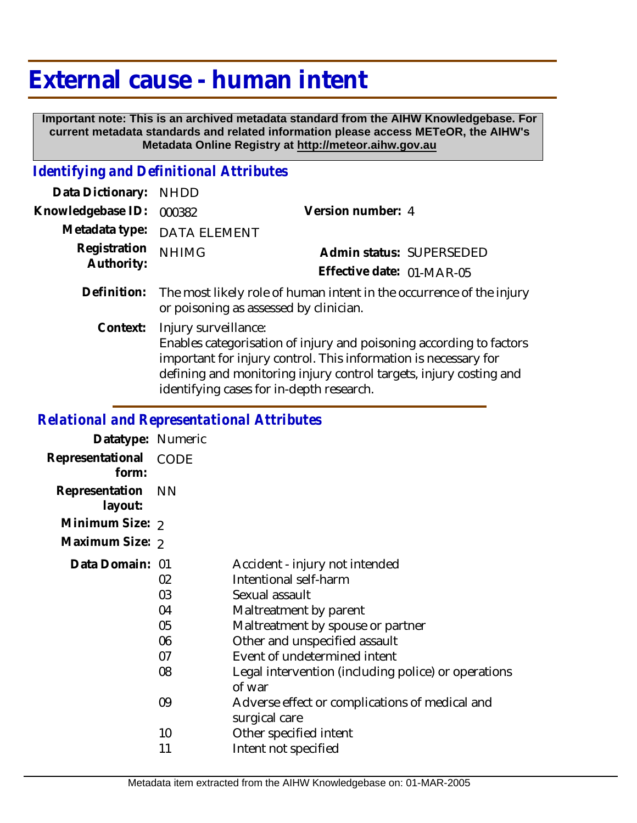# **External cause - human intent**

 **Important note: This is an archived metadata standard from the AIHW Knowledgebase. For current metadata standards and related information please access METeOR, the AIHW's Metadata Online Registry at http://meteor.aihw.gov.au**

### *Identifying and Definitional Attributes*

| Data Dictionary:           | <b>NHDD</b>                                                                                                                                                                                                                                                                      |                           |
|----------------------------|----------------------------------------------------------------------------------------------------------------------------------------------------------------------------------------------------------------------------------------------------------------------------------|---------------------------|
| Knowledgebase ID:          | 000382                                                                                                                                                                                                                                                                           | Version number: 4         |
| Metadata type:             | <b>DATA ELEMENT</b>                                                                                                                                                                                                                                                              |                           |
| Registration<br>Authority: | <b>NHIMG</b>                                                                                                                                                                                                                                                                     | Admin status: SUPERSEDED  |
|                            |                                                                                                                                                                                                                                                                                  | Effective date: 01-MAR-05 |
| Definition:                | The most likely role of human intent in the occurrence of the injury<br>or poisoning as assessed by clinician.                                                                                                                                                                   |                           |
| Context:                   | Injury surveillance:<br>Enables categorisation of injury and poisoning according to factors<br>important for injury control. This information is necessary for<br>defining and monitoring injury control targets, injury costing and<br>identifying cases for in-depth research. |                           |

## *Relational and Representational Attributes*

| Datatype: Numeric              |           |                                                                 |
|--------------------------------|-----------|-----------------------------------------------------------------|
| Representational CODE<br>form: |           |                                                                 |
| Representation<br>layout:      | <b>NN</b> |                                                                 |
| Minimum Size: 2                |           |                                                                 |
| Maximum Size: 2                |           |                                                                 |
| Data Domain: 01                | 02        | Accident - injury not intended<br>Intentional self-harm         |
|                                | 03        | Sexual assault                                                  |
|                                | 04        | Maltreatment by parent                                          |
|                                | 05        | Maltreatment by spouse or partner                               |
|                                | 06        | Other and unspecified assault                                   |
|                                | 07        | Event of undetermined intent                                    |
|                                | 08        | Legal intervention (including police) or operations<br>of war   |
|                                | 09        | Adverse effect or complications of medical and<br>surgical care |
|                                | 10        | Other specified intent                                          |
|                                | 11        | Intent not specified                                            |